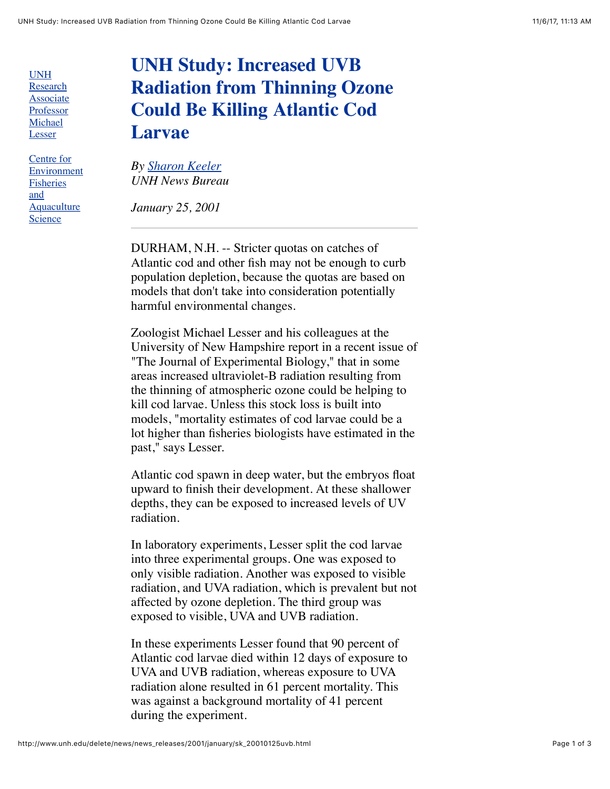UNH Research [Associate](http://zoology.unh.edu/faculty/lesser/lesser.html) Professor Michael **Lesser** 

Centre for [Environment](http://www.cefas.co.uk/homepage.htm) Fisheries and **Aquaculture Science** 

## **UNH Study: Increased UVB Radiation from Thinning Ozone Could Be Killing Atlantic Cod Larvae**

*By [Sharon Keeler](mailto:sjkeeler@cisunix.unh.edu) UNH News Bureau*

*January 25, 2001*

DURHAM, N.H. -- Stricter quotas on catches of Atlantic cod and other fish may not be enough to curb population depletion, because the quotas are based on models that don't take into consideration potentially harmful environmental changes.

Zoologist Michael Lesser and his colleagues at the University of New Hampshire report in a recent issue of "The Journal of Experimental Biology," that in some areas increased ultraviolet-B radiation resulting from the thinning of atmospheric ozone could be helping to kill cod larvae. Unless this stock loss is built into models, "mortality estimates of cod larvae could be a lot higher than fisheries biologists have estimated in the past," says Lesser.

Atlantic cod spawn in deep water, but the embryos float upward to finish their development. At these shallower depths, they can be exposed to increased levels of UV radiation.

In laboratory experiments, Lesser split the cod larvae into three experimental groups. One was exposed to only visible radiation. Another was exposed to visible radiation, and UVA radiation, which is prevalent but not affected by ozone depletion. The third group was exposed to visible, UVA and UVB radiation.

In these experiments Lesser found that 90 percent of Atlantic cod larvae died within 12 days of exposure to UVA and UVB radiation, whereas exposure to UVA radiation alone resulted in 61 percent mortality. This was against a background mortality of 41 percent during the experiment.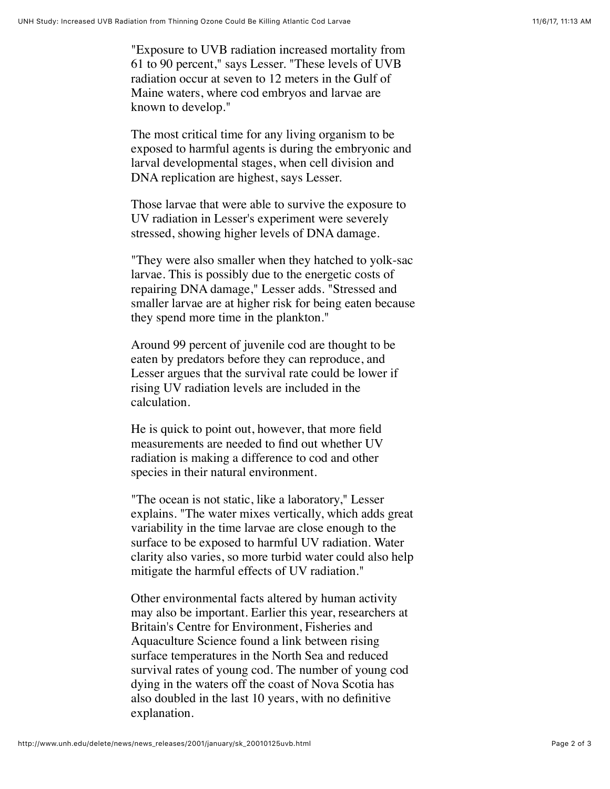"Exposure to UVB radiation increased mortality from 61 to 90 percent," says Lesser. "These levels of UVB radiation occur at seven to 12 meters in the Gulf of Maine waters, where cod embryos and larvae are known to develop."

The most critical time for any living organism to be exposed to harmful agents is during the embryonic and larval developmental stages, when cell division and DNA replication are highest, says Lesser.

Those larvae that were able to survive the exposure to UV radiation in Lesser's experiment were severely stressed, showing higher levels of DNA damage.

"They were also smaller when they hatched to yolk-sac larvae. This is possibly due to the energetic costs of repairing DNA damage," Lesser adds. "Stressed and smaller larvae are at higher risk for being eaten because they spend more time in the plankton."

Around 99 percent of juvenile cod are thought to be eaten by predators before they can reproduce, and Lesser argues that the survival rate could be lower if rising UV radiation levels are included in the calculation.

He is quick to point out, however, that more field measurements are needed to find out whether UV radiation is making a difference to cod and other species in their natural environment.

"The ocean is not static, like a laboratory," Lesser explains. "The water mixes vertically, which adds great variability in the time larvae are close enough to the surface to be exposed to harmful UV radiation. Water clarity also varies, so more turbid water could also help mitigate the harmful effects of UV radiation."

Other environmental facts altered by human activity may also be important. Earlier this year, researchers at Britain's Centre for Environment, Fisheries and Aquaculture Science found a link between rising surface temperatures in the North Sea and reduced survival rates of young cod. The number of young cod dying in the waters off the coast of Nova Scotia has also doubled in the last 10 years, with no definitive explanation.